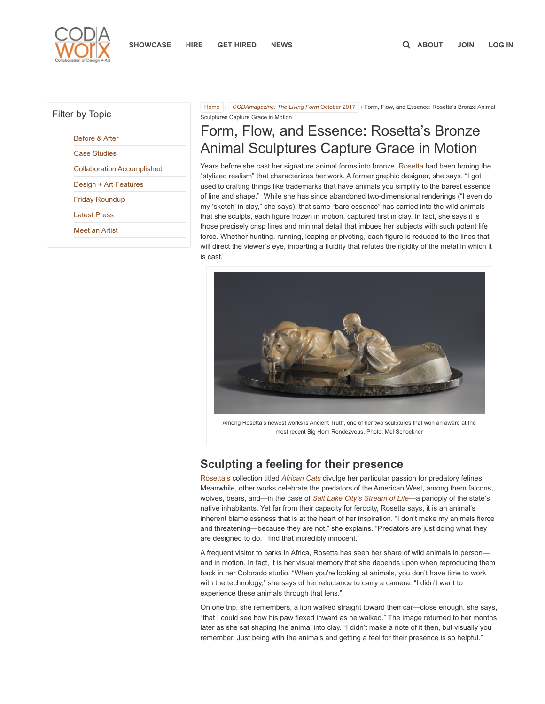

## Filter by Topic

[Before & After](https://www.codaworx.com/news/category/before-after/)

[Case Studies](https://www.codaworx.com/news/category/case-studies/)

[Collaboration Accomplished](https://www.codaworx.com/news/category/collaboration-accomplished/)

[Design + Art Features](https://www.codaworx.com/news/category/design-art-features/)

[Friday Roundup](https://www.codaworx.com/news/category/friday-roundup/)

[Latest Press](https://www.codaworx.com/news/category/latest-news/)

[Meet an Artist](https://www.codaworx.com/news/category/meet-an-artist/)

[Home](https://www.codaworx.com/news/) > [CODAmagazine: The Living Form](https://www.codaworx.com/news/living-form/) October 2017 > Form, Flow, and Essence: Rosetta's Bronze Animal Sculptures Capture Grace in Motion

## Form, Flow, and Essence: Rosetta's Bronze Animal Sculptures Capture Grace in Motion

Years before she cast her signature animal forms into bronze, [Rosetta](http://www.rosettasculpture.com/) had been honing the "stylized realism" that characterizes her work. A former graphic designer, she says, "I got used to crafting things like trademarks that have animals you simplify to the barest essence of line and shape." While she has since abandoned two-dimensional renderings ("I even do my 'sketch' in clay," she says), that same "bare essence" has carried into the wild animals that she sculpts, each figure frozen in motion, captured first in clay. In fact, she says it is those precisely crisp lines and minimal detail that imbues her subjects with such potent life force. Whether hunting, running, leaping or pivoting, each figure is reduced to the lines that will direct the viewer's eye, imparting a fluidity that refutes the rigidity of the metal in which it is cast.



Among Rosetta's newest works is Ancient Truth, one of her two sculptures that won an award at the most recent Big Horn Rendezvous. Photo: Mel Schockner

## Sculpting a feeling for their presence

[Rosetta's](https://www.codaworx.com/profile/rosetta-sculpture/684) collection titled [African Cats](http://rosettasculpture.com/portfolio/african-cats/index.html) divulge her particular passion for predatory felines. Meanwhile, other works celebrate the predators of the American West, among them falcons, wolves, bears, and—in the case of [Salt Lake City's Stream of Life](https://stage.codaworx.com/project/stream-of-life-city-creek-reserve-inc)—a panoply of the state's native inhabitants. Yet far from their capacity for ferocity, Rosetta says, it is an animal's inherent blamelessness that is at the heart of her inspiration. "I don't make my animals fierce and threatening—because they are not," she explains. "Predators are just doing what they are designed to do. I find that incredibly innocent."

A frequent visitor to parks in Africa, Rosetta has seen her share of wild animals in person and in motion. In fact, it is her visual memory that she depends upon when reproducing them back in her Colorado studio. "When you're looking at animals, you don't have time to work with the technology," she says of her reluctance to carry a camera. "I didn't want to experience these animals through that lens."

On one trip, she remembers, a lion walked straight toward their car—close enough, she says, "that I could see how his paw flexed inward as he walked." The image returned to her months later as she sat shaping the animal into clay. "I didn't make a note of it then, but visually you remember. Just being with the animals and getting a feel for their presence is so helpful."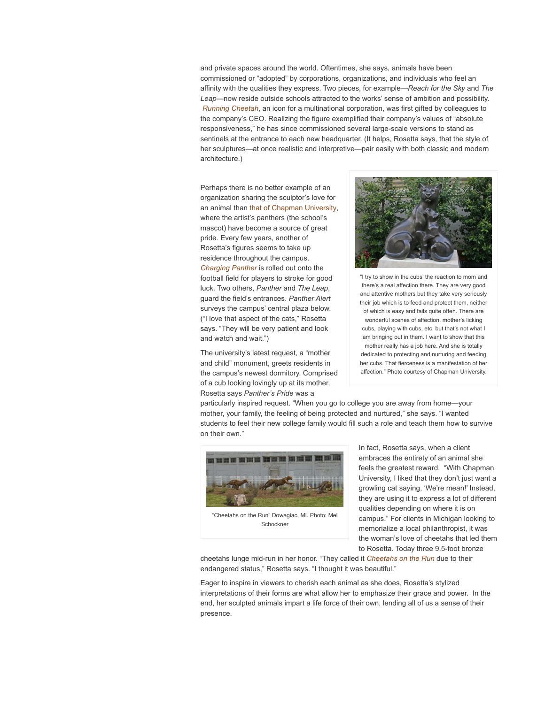and private spaces around the world. Oftentimes, she says, animals have been commissioned or "adopted" by corporations, organizations, and individuals who feel an affinity with the qualities they express. Two pieces, for example—Reach for the Sky and The Leap—now reside outside schools attracted to the works' sense of ambition and possibility. [Running Cheetah](http://rosettasculpture.com/portfolio/african-cats/index.html), an icon for a multinational corporation, was first gifted by colleagues to the company's CEO. Realizing the figure exemplified their company's values of "absolute responsiveness," he has since commissioned several large-scale versions to stand as sentinels at the entrance to each new headquarter. (It helps, Rosetta says, that the style of her sculptures—at once realistic and interpretive—pair easily with both classic and modern architecture.)

Perhaps there is no better example of an organization sharing the sculptor's love for an animal than [that of Chapman University](https://www.codaworx.com/project/panther-pride-chapman-university), where the artist's panthers (the school's mascot) have become a source of great pride. Every few years, another of Rosetta's figures seems to take up residence throughout the campus. [Charging Panther](http://rosettasculpture.com/portfolio/large-bronzes/index.html) is rolled out onto the football field for players to stroke for good luck. Two others, Panther and The Leap, guard the field's entrances. Panther Alert surveys the campus' central plaza below. ("I love that aspect of the cats," Rosetta says. "They will be very patient and look and watch and wait.")

The university's latest request, a "mother and child" monument, greets residents in the campus's newest dormitory. Comprised of a cub looking lovingly up at its mother, Rosetta says Panther's Pride was a



"I try to show in the cubs' the reaction to mom and there's a real affection there. They are very good and attentive mothers but they take very seriously their job which is to feed and protect them, neither of which is easy and fails quite often. There are wonderful scenes of affection, mother's licking cubs, playing with cubs, etc. but that's not what I am bringing out in them. I want to show that this mother really has a job here. And she is totally dedicated to protecting and nurturing and feeding her cubs. That fierceness is a manifestation of her affection." Photo courtesy of Chapman University.

particularly inspired request. "When you go to college you are away from home—your mother, your family, the feeling of being protected and nurtured," she says. "I wanted students to feel their new college family would fill such a role and teach them how to survive on their own."



"Cheetahs on the Run" Dowagiac, MI. Photo: Mel Schockner

In fact, Rosetta says, when a client embraces the entirety of an animal she feels the greatest reward. "With Chapman University, I liked that they don't just want a growling cat saying, 'We're mean!' Instead, they are using it to express a lot of different qualities depending on where it is on campus." For clients in Michigan looking to memorialize a local philanthropist, it was the woman's love of cheetahs that led them to Rosetta. Today three 9.5-foot bronze

cheetahs lunge mid-run in her honor. "They called it [Cheetahs on the Run](https://www.codaworx.com/profile/rosetta-sculpture/684) due to their endangered status," Rosetta says. "I thought it was beautiful."

Eager to inspire in viewers to cherish each animal as she does, Rosetta's stylized interpretations of their forms are what allow her to emphasize their grace and power. In the end, her sculpted animals impart a life force of their own, lending all of us a sense of their presence.